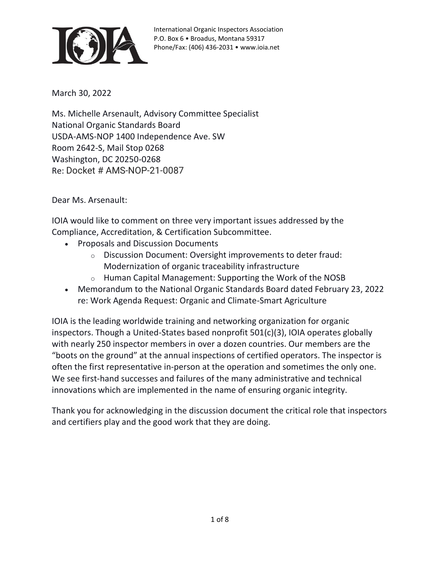

March 30, 2022

Ms. Michelle Arsenault, Advisory Committee Specialist National Organic Standards Board USDA-AMS-NOP 1400 Independence Ave. SW Room 2642-S, Mail Stop 0268 Washington, DC 20250-0268 Re: Docket # AMS-NOP-21-0087

Dear Ms. Arsenault:

IOIA would like to comment on three very important issues addressed by the Compliance, Accreditation, & Certification Subcommittee.

- Proposals and Discussion Documents
	- o Discussion Document: Oversight improvements to deter fraud: Modernization of organic traceability infrastructure
	- o Human Capital Management: Supporting the Work of the NOSB
- Memorandum to the National Organic Standards Board dated February 23, 2022 re: Work Agenda Request: Organic and Climate-Smart Agriculture

IOIA is the leading worldwide training and networking organization for organic inspectors. Though a United-States based nonprofit 501(c)(3), IOIA operates globally with nearly 250 inspector members in over a dozen countries. Our members are the "boots on the ground" at the annual inspections of certified operators. The inspector is often the first representative in-person at the operation and sometimes the only one. We see first-hand successes and failures of the many administrative and technical innovations which are implemented in the name of ensuring organic integrity.

Thank you for acknowledging in the discussion document the critical role that inspectors and certifiers play and the good work that they are doing.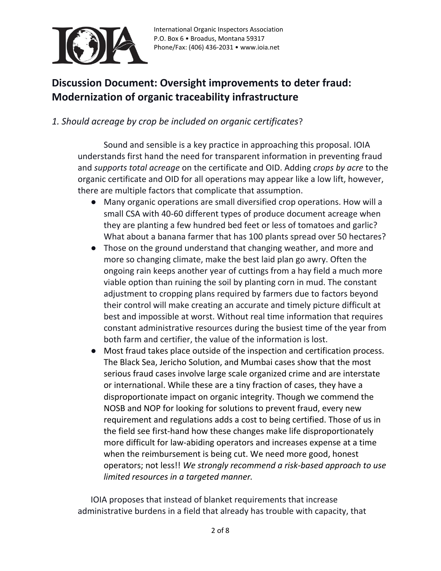

## **Discussion Document: Oversight improvements to deter fraud: Modernization of organic traceability infrastructure**

#### *1. Should acreage by crop be included on organic certificates*?

Sound and sensible is a key practice in approaching this proposal. IOIA understands first hand the need for transparent information in preventing fraud and *supports total acreage* on the certificate and OID. Adding *crops by acre* to the organic certificate and OID for all operations may appear like a low lift, however, there are multiple factors that complicate that assumption.

- Many organic operations are small diversified crop operations. How will a small CSA with 40-60 different types of produce document acreage when they are planting a few hundred bed feet or less of tomatoes and garlic? What about a banana farmer that has 100 plants spread over 50 hectares?
- Those on the ground understand that changing weather, and more and more so changing climate, make the best laid plan go awry. Often the ongoing rain keeps another year of cuttings from a hay field a much more viable option than ruining the soil by planting corn in mud. The constant adjustment to cropping plans required by farmers due to factors beyond their control will make creating an accurate and timely picture difficult at best and impossible at worst. Without real time information that requires constant administrative resources during the busiest time of the year from both farm and certifier, the value of the information is lost.
- Most fraud takes place outside of the inspection and certification process. The Black Sea, Jericho Solution, and Mumbai cases show that the most serious fraud cases involve large scale organized crime and are interstate or international. While these are a tiny fraction of cases, they have a disproportionate impact on organic integrity. Though we commend the NOSB and NOP for looking for solutions to prevent fraud, every new requirement and regulations adds a cost to being certified. Those of us in the field see first-hand how these changes make life disproportionately more difficult for law-abiding operators and increases expense at a time when the reimbursement is being cut. We need more good, honest operators; not less!! *We strongly recommend a risk-based approach to use limited resources in a targeted manner.*

IOIA proposes that instead of blanket requirements that increase administrative burdens in a field that already has trouble with capacity, that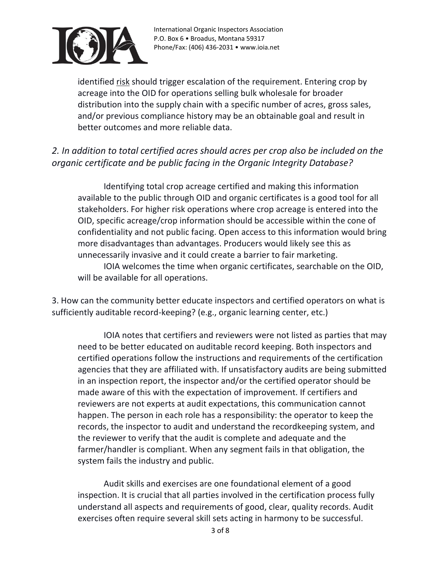

identified risk should trigger escalation of the requirement. Entering crop by acreage into the OID for operations selling bulk wholesale for broader distribution into the supply chain with a specific number of acres, gross sales, and/or previous compliance history may be an obtainable goal and result in better outcomes and more reliable data.

#### *2. In addition to total certified acres should acres per crop also be included on the organic certificate and be public facing in the Organic Integrity Database?*

Identifying total crop acreage certified and making this information available to the public through OID and organic certificates is a good tool for all stakeholders. For higher risk operations where crop acreage is entered into the OID, specific acreage/crop information should be accessible within the cone of confidentiality and not public facing. Open access to this information would bring more disadvantages than advantages. Producers would likely see this as unnecessarily invasive and it could create a barrier to fair marketing.

IOIA welcomes the time when organic certificates, searchable on the OID, will be available for all operations.

3. How can the community better educate inspectors and certified operators on what is sufficiently auditable record-keeping? (e.g., organic learning center, etc.)

IOIA notes that certifiers and reviewers were not listed as parties that may need to be better educated on auditable record keeping. Both inspectors and certified operations follow the instructions and requirements of the certification agencies that they are affiliated with. If unsatisfactory audits are being submitted in an inspection report, the inspector and/or the certified operator should be made aware of this with the expectation of improvement. If certifiers and reviewers are not experts at audit expectations, this communication cannot happen. The person in each role has a responsibility: the operator to keep the records, the inspector to audit and understand the recordkeeping system, and the reviewer to verify that the audit is complete and adequate and the farmer/handler is compliant. When any segment fails in that obligation, the system fails the industry and public.

Audit skills and exercises are one foundational element of a good inspection. It is crucial that all parties involved in the certification process fully understand all aspects and requirements of good, clear, quality records. Audit exercises often require several skill sets acting in harmony to be successful.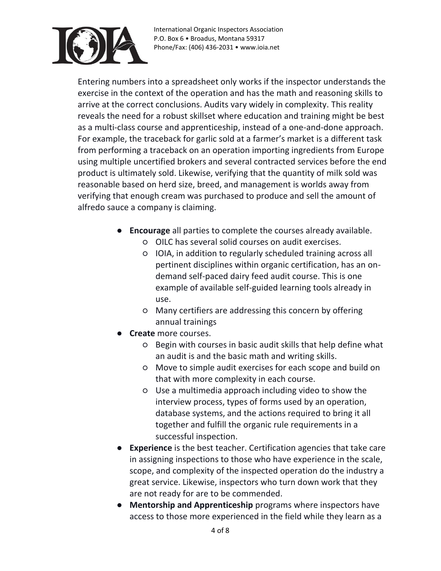

Entering numbers into a spreadsheet only works if the inspector understands the exercise in the context of the operation and has the math and reasoning skills to arrive at the correct conclusions. Audits vary widely in complexity. This reality reveals the need for a robust skillset where education and training might be best as a multi-class course and apprenticeship, instead of a one-and-done approach. For example, the traceback for garlic sold at a farmer's market is a different task from performing a traceback on an operation importing ingredients from Europe using multiple uncertified brokers and several contracted services before the end product is ultimately sold. Likewise, verifying that the quantity of milk sold was reasonable based on herd size, breed, and management is worlds away from verifying that enough cream was purchased to produce and sell the amount of alfredo sauce a company is claiming.

- **Encourage** all parties to complete the courses already available.
	- OILC has several solid courses on audit exercises.
	- IOIA, in addition to regularly scheduled training across all pertinent disciplines within organic certification, has an ondemand self-paced dairy feed audit course. This is one example of available self-guided learning tools already in use.
	- Many certifiers are addressing this concern by offering annual trainings
- **Create** more courses.
	- Begin with courses in basic audit skills that help define what an audit is and the basic math and writing skills.
	- Move to simple audit exercises for each scope and build on that with more complexity in each course.
	- Use a multimedia approach including video to show the interview process, types of forms used by an operation, database systems, and the actions required to bring it all together and fulfill the organic rule requirements in a successful inspection.
- **Experience** is the best teacher. Certification agencies that take care in assigning inspections to those who have experience in the scale, scope, and complexity of the inspected operation do the industry a great service. Likewise, inspectors who turn down work that they are not ready for are to be commended.
- **Mentorship and Apprenticeship** programs where inspectors have access to those more experienced in the field while they learn as a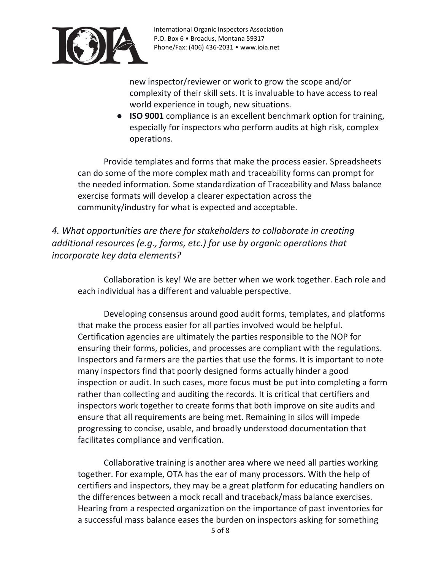

new inspector/reviewer or work to grow the scope and/or complexity of their skill sets. It is invaluable to have access to real world experience in tough, new situations.

● **ISO 9001** compliance is an excellent benchmark option for training, especially for inspectors who perform audits at high risk, complex operations.

Provide templates and forms that make the process easier. Spreadsheets can do some of the more complex math and traceability forms can prompt for the needed information. Some standardization of Traceability and Mass balance exercise formats will develop a clearer expectation across the community/industry for what is expected and acceptable.

*4. What opportunities are there for stakeholders to collaborate in creating additional resources (e.g., forms, etc.) for use by organic operations that incorporate key data elements?*

Collaboration is key! We are better when we work together. Each role and each individual has a different and valuable perspective.

Developing consensus around good audit forms, templates, and platforms that make the process easier for all parties involved would be helpful. Certification agencies are ultimately the parties responsible to the NOP for ensuring their forms, policies, and processes are compliant with the regulations. Inspectors and farmers are the parties that use the forms. It is important to note many inspectors find that poorly designed forms actually hinder a good inspection or audit. In such cases, more focus must be put into completing a form rather than collecting and auditing the records. It is critical that certifiers and inspectors work together to create forms that both improve on site audits and ensure that all requirements are being met. Remaining in silos will impede progressing to concise, usable, and broadly understood documentation that facilitates compliance and verification.

Collaborative training is another area where we need all parties working together. For example, OTA has the ear of many processors. With the help of certifiers and inspectors, they may be a great platform for educating handlers on the differences between a mock recall and traceback/mass balance exercises. Hearing from a respected organization on the importance of past inventories for a successful mass balance eases the burden on inspectors asking for something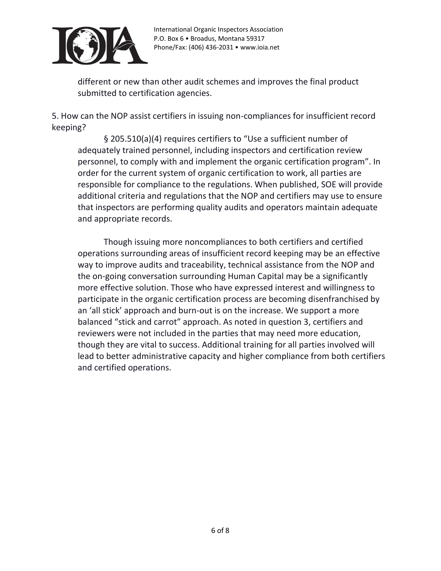

different or new than other audit schemes and improves the final product submitted to certification agencies.

5. How can the NOP assist certifiers in issuing non-compliances for insufficient record keeping?

§ 205.510(a)(4) requires certifiers to "Use a sufficient number of adequately trained personnel, including inspectors and certification review personnel, to comply with and implement the organic certification program". In order for the current system of organic certification to work, all parties are responsible for compliance to the regulations. When published, SOE will provide additional criteria and regulations that the NOP and certifiers may use to ensure that inspectors are performing quality audits and operators maintain adequate and appropriate records.

Though issuing more noncompliances to both certifiers and certified operations surrounding areas of insufficient record keeping may be an effective way to improve audits and traceability, technical assistance from the NOP and the on-going conversation surrounding Human Capital may be a significantly more effective solution. Those who have expressed interest and willingness to participate in the organic certification process are becoming disenfranchised by an 'all stick' approach and burn-out is on the increase. We support a more balanced "stick and carrot" approach. As noted in question 3, certifiers and reviewers were not included in the parties that may need more education, though they are vital to success. Additional training for all parties involved will lead to better administrative capacity and higher compliance from both certifiers and certified operations.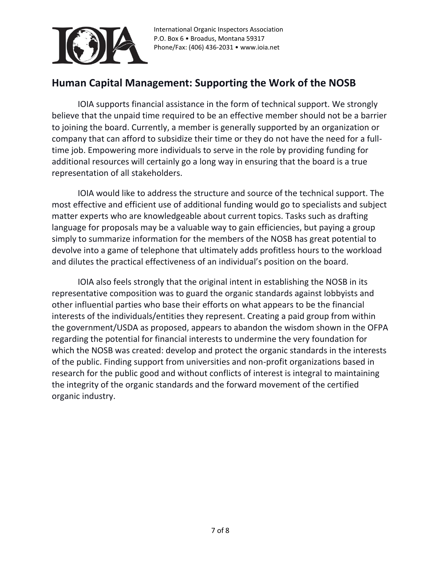

### **Human Capital Management: Supporting the Work of the NOSB**

IOIA supports financial assistance in the form of technical support. We strongly believe that the unpaid time required to be an effective member should not be a barrier to joining the board. Currently, a member is generally supported by an organization or company that can afford to subsidize their time or they do not have the need for a fulltime job. Empowering more individuals to serve in the role by providing funding for additional resources will certainly go a long way in ensuring that the board is a true representation of all stakeholders.

IOIA would like to address the structure and source of the technical support. The most effective and efficient use of additional funding would go to specialists and subject matter experts who are knowledgeable about current topics. Tasks such as drafting language for proposals may be a valuable way to gain efficiencies, but paying a group simply to summarize information for the members of the NOSB has great potential to devolve into a game of telephone that ultimately adds profitless hours to the workload and dilutes the practical effectiveness of an individual's position on the board.

IOIA also feels strongly that the original intent in establishing the NOSB in its representative composition was to guard the organic standards against lobbyists and other influential parties who base their efforts on what appears to be the financial interests of the individuals/entities they represent. Creating a paid group from within the government/USDA as proposed, appears to abandon the wisdom shown in the OFPA regarding the potential for financial interests to undermine the very foundation for which the NOSB was created: develop and protect the organic standards in the interests of the public. Finding support from universities and non-profit organizations based in research for the public good and without conflicts of interest is integral to maintaining the integrity of the organic standards and the forward movement of the certified organic industry.